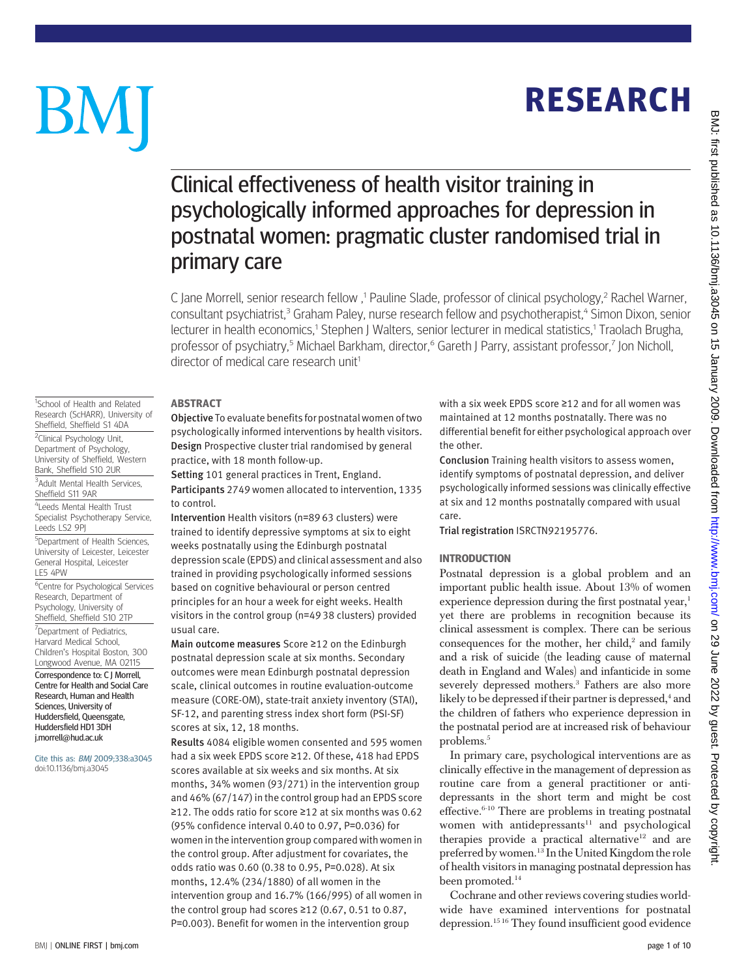**RESEARCH** RESEARCH

# Clinical effectiveness of health visitor training in psychologically informed approaches for depression in postnatal women: pragmatic cluster randomised trial in primary care

C Jane Morrell, senior research fellow,<sup>1</sup> Pauline Slade, professor of clinical psychology,<sup>2</sup> Rachel Warner, consultant psychiatrist,<sup>3</sup> Graham Paley, nurse research fellow and psychotherapist,<sup>4</sup> Simon Dixon, senior lecturer in health economics,<sup>1</sup> Stephen J Walters, senior lecturer in medical statistics,<sup>1</sup> Traolach Brugha, professor of psychiatry,<sup>5</sup> Michael Barkham, director,<sup>6</sup> Gareth J Parry, assistant professor,<sup>7</sup> Jon Nicholl, director of medical care research unit<sup>1</sup>

-----------<br>Objective To evaluate benefits for postnatal women of two psychologically informed interventions by health visitors. Design Prospective cluster trial randomised by general practice, with 18 month follow-up.

Setting 101 general practices in Trent, England. Participants 2749 women allocated to intervention, 1335 to control.

Intervention Health visitors (n=89 63 clusters) were trained to identify depressive symptoms at six to eight weeks postnatally using the Edinburgh postnatal depression scale (EPDS) and clinical assessment and also trained in providing psychologically informed sessions based on cognitive behavioural or person centred principles for an hour a week for eight weeks. Health visitors in the control group (n=49 38 clusters) provided usual care.

Main outcome measures Score ≥12 on the Edinburgh postnatal depression scale at six months. Secondary outcomes were mean Edinburgh postnatal depression scale, clinical outcomes in routine evaluation-outcome measure (CORE-OM), state-trait anxiety inventory (STAI), SF-12, and parenting stress index short form (PSI-SF) scores at six, 12, 18 months.

Results 4084 eligible women consented and 595 women had a six week EPDS score ≥12. Of these, 418 had EPDS scores available at six weeks and six months. At six months, 34% women (93/271) in the intervention group and 46% (67/147) in the control group had an EPDS score ≥12. The odds ratio for score ≥12 at six months was 0.62 (95% confidence interval 0.40 to 0.97, P=0.036) for women in the intervention group compared with women in the control group. After adjustment for covariates, the odds ratio was 0.60 (0.38 to 0.95, P=0.028). At six months, 12.4% (234/1880) of all women in the intervention group and 16.7% (166/995) of all women in the control group had scores  $\geq$ 12 (0.67, 0.51 to 0.87, P=0.003). Benefit for women in the intervention group

with a six week EPDS score ≥12 and for all women was maintained at 12 months postnatally. There was no differential benefit for either psychological approach over the other.

Conclusion Training health visitors to assess women, identify symptoms of postnatal depression, and deliver psychologically informed sessions was clinically effective at six and 12 months postnatally compared with usual care.

Trial registration ISRCTN92195776.

Postnatal depression is a global problem and an important public health issue. About 13% of women experience depression during the first postnatal year, $<sup>1</sup>$ </sup> yet there are problems in recognition because its clinical assessment is complex. There can be serious consequences for the mother, her child, $2$  and family and a risk of suicide (the leading cause of maternal death in England and Wales) and infanticide in some severely depressed mothers.<sup>3</sup> Fathers are also more likely to be depressed if their partner is depressed, $4$  and the children of fathers who experience depression in the postnatal period are at increased risk of behaviour problems.<sup>5</sup>

In primary care, psychological interventions are as clinically effective in the management of depression as routine care from a general practitioner or antidepressants in the short term and might be cost effective. $6-10$  There are problems in treating postnatal women with antidepressants $11$  and psychological therapies provide a practical alternative<sup>12</sup> and are preferred by women.13 In the United Kingdom the role of health visitors in managing postnatal depression has been promoted.<sup>14</sup>

Cochrane and other reviews covering studies worldwide have examined interventions for postnatal depression.15 16 They found insufficient good evidence

<sup>1</sup>School of Health and Related Research (ScHARR), University of Sheffield, Sheffield, S1, 4DA

BM

Bank, Sheffield S10 2UR 3 Adult Mental Health Services,

Sheffield S11 9AR

4 Leeds Mental Health Trust Specialist Psychotherapy Service, Leeds LS2 9PJ

5 Department of Health Sciences, University of Leicester, Leicester General Hospital, Leicester LE5 4PW

<sup>6</sup>Centre for Psychological Services Research, Department of Psychology, University of

Sheffield, Sheffield S10 2TP <sup>7</sup>Department of Pediatrics, Harvard Medical School, Children's Hospital Boston, 300 Longwood Avenue, MA 02115 Correspondence to: C J Morrell, Centre for Health and Social Care Research, Human and Health Sciences, University of Huddersfield, Queensgate, Huddersfield HD1 3DH j.morrell@hud.ac.uk

Cite this as: BMJ 2009;338:a3045 doi:10.1136/bmj.a3045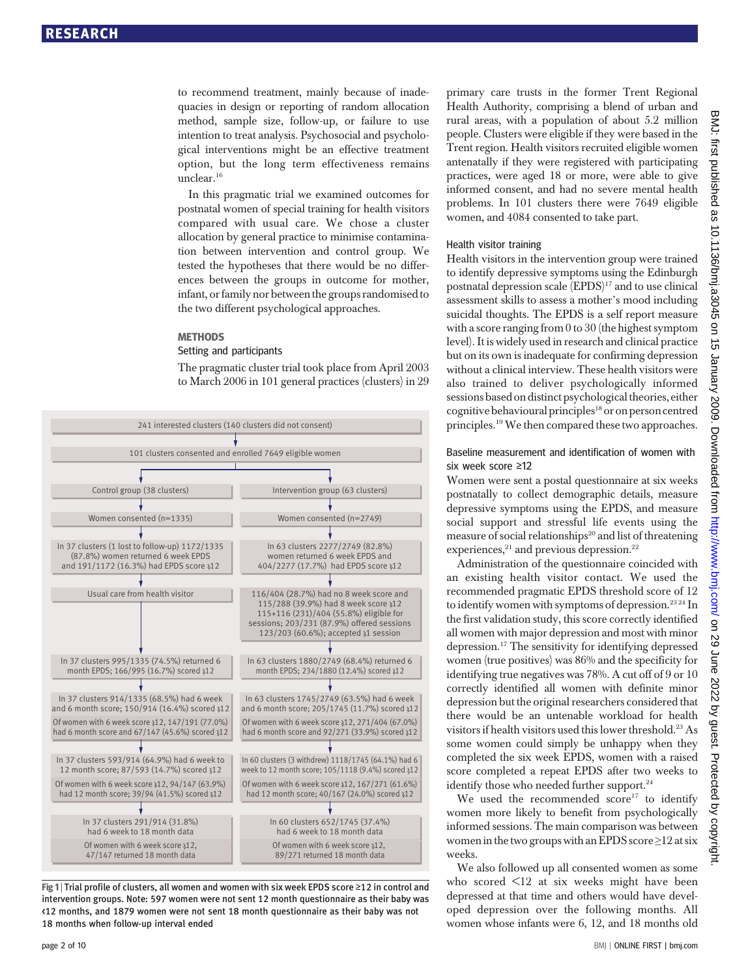to recommend treatment, mainly because of inadequacies in design or reporting of random allocation method, sample size, follow-up, or failure to use intention to treat analysis. Psychosocial and psychological interventions might be an effective treatment option, but the long term effectiveness remains unclear.16

In this pragmatic trial we examined outcomes for postnatal women of special training for health visitors compared with usual care. We chose a cluster allocation by general practice to minimise contamination between intervention and control group. We tested the hypotheses that there would be no differences between the groups in outcome for mother, infant, or family nor between the groups randomised to the two different psychological approaches.

#### **METHODS**

# **Setting and participants**

The pragmatic cluster trial took place from April 2003 to March 2006 in 101 general practices (clusters) in 29



Fig 1 <sup>|</sup> Trial profile of clusters, all women and women with six week EPDS score <sup>≥</sup>12 in control and intervention groups. Note: 597 women were not sent 12 month questionnaire as their baby was <12 months, and 1879 women were not sent 18 month questionnaire as their baby was not 18 months when follow-up interval ended

primary care trusts in the former Trent Regional Health Authority, comprising a blend of urban and rural areas, with a population of about 5.2 million people. Clusters were eligible if they were based in the Trent region. Health visitors recruited eligible women antenatally if they were registered with participating practices, were aged 18 or more, were able to give informed consent, and had no severe mental health problems. In 101 clusters there were 7649 eligible women, and 4084 consented to take part.

#### Health visitor training

Health visitors in the intervention group were trained to identify depressive symptoms using the Edinburgh postnatal depression scale (EPDS)<sup>17</sup> and to use clinical assessment skills to assess a mother's mood including suicidal thoughts. The EPDS is a self report measure with a score ranging from 0 to 30 (the highest symptom level). It is widely used in research and clinical practice but on its own is inadequate for confirming depression without a clinical interview. These health visitors were also trained to deliver psychologically informed sessions based on distinct psychological theories, either cognitive behavioural principles<sup>18</sup> or on person centred principles.<sup>19</sup> We then compared these two approaches.

#### Baseline measurement and identification of women with six week score ≥12

Women were sent a postal questionnaire at six weeks postnatally to collect demographic details, measure depressive symptoms using the EPDS, and measure social support and stressful life events using the measure of social relationships<sup>20</sup> and list of threatening experiences, $^{21}$  and previous depression. $^{22}$ 

Administration of the questionnaire coincided with an existing health visitor contact. We used the recommended pragmatic EPDS threshold score of 12 to identify women with symptoms of depression.<sup>2324</sup> In the first validation study, this score correctly identified all women with major depression and most with minor depression.17 The sensitivity for identifying depressed women (true positives) was 86% and the specificity for identifying true negatives was 78%. A cut off of 9 or 10 correctly identified all women with definite minor depression but the original researchers considered that there would be an untenable workload for health visitors if health visitors used this lower threshold.23 As some women could simply be unhappy when they completed the six week EPDS, women with a raised score completed a repeat EPDS after two weeks to identify those who needed further support.<sup>24</sup>

We used the recommended  $score^{17}$  to identify women more likely to benefit from psychologically informed sessions. The main comparison was between women in the two groups with an EPDS score  $\geq$ 12 at six weeks.

We also followed up all consented women as some who scored <12 at six weeks might have been depressed at that time and others would have developed depression over the following months. All women whose infants were 6, 12, and 18 months old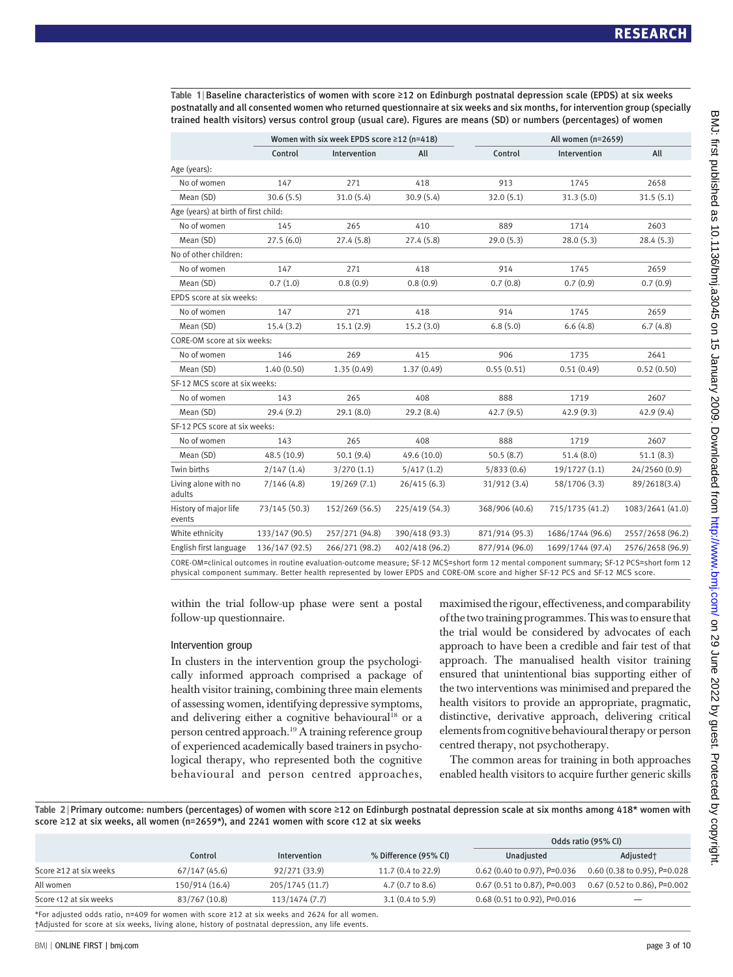Table 1 <sup>|</sup> Baseline characteristics of women with score <sup>≥</sup>12 on Edinburgh postnatal depression scale (EPDS) at six weeks postnatally and all consented women who returned questionnaire at six weeks and six months, for intervention group (specially trained health visitors) versus control group (usual care). Figures are means (SD) or numbers (percentages) of women

|                                      |                | Women with six week EPDS score ≥12 (n=418) |                | All women (n=2659) |                  |                  |  |  |
|--------------------------------------|----------------|--------------------------------------------|----------------|--------------------|------------------|------------------|--|--|
|                                      | Control        | Intervention                               | All            | Control            | Intervention     | All              |  |  |
| Age (years):                         |                |                                            |                |                    |                  |                  |  |  |
| No of women                          | 147            | 271                                        | 418            | 913                | 1745             | 2658             |  |  |
| Mean (SD)                            | 30.6(5.5)      | 31.0(5.4)                                  | 30.9(5.4)      | 32.0(5.1)          | 31.3(5.0)        | 31.5(5.1)        |  |  |
| Age (years) at birth of first child: |                |                                            |                |                    |                  |                  |  |  |
| No of women                          | 145            | 265                                        | 410            | 889                | 1714             | 2603             |  |  |
| Mean (SD)                            | 27.5(6.0)      | 27.4(5.8)                                  | 27.4 (5.8)     | 29.0(5.3)          | 28.0(5.3)        | 28.4(5.3)        |  |  |
| No of other children:                |                |                                            |                |                    |                  |                  |  |  |
| No of women                          | 147            | 271                                        | 418            | 914                | 1745             | 2659             |  |  |
| Mean (SD)                            | 0.7(1.0)       | 0.8(0.9)                                   | 0.8(0.9)       | 0.7(0.8)           | 0.7(0.9)         | 0.7(0.9)         |  |  |
| EPDS score at six weeks:             |                |                                            |                |                    |                  |                  |  |  |
| No of women                          | 147            | 271                                        | 418            | 914                | 1745             | 2659             |  |  |
| Mean (SD)                            | 15.4(3.2)      | 15.1(2.9)                                  | 15.2(3.0)      | 6.8(5.0)           | 6.6(4.8)         | 6.7(4.8)         |  |  |
| CORE-OM score at six weeks:          |                |                                            |                |                    |                  |                  |  |  |
| No of women                          | 146            | 269                                        | 415            | 906                | 1735             | 2641             |  |  |
| Mean (SD)                            | 1.40(0.50)     | 1.35(0.49)                                 | 1.37(0.49)     | 0.55(0.51)         | 0.51(0.49)       | 0.52(0.50)       |  |  |
| SF-12 MCS score at six weeks:        |                |                                            |                |                    |                  |                  |  |  |
| No of women                          | 143            | 265                                        | 408            | 888                | 1719             | 2607             |  |  |
| Mean (SD)                            | 29.4(9.2)      | 29.1(8.0)                                  | 29.2 (8.4)     | 42.7(9.5)          | 42.9(9.3)        | 42.9(9.4)        |  |  |
| SF-12 PCS score at six weeks:        |                |                                            |                |                    |                  |                  |  |  |
| No of women                          | 143            | 265                                        | 408            | 888                | 1719             | 2607             |  |  |
| Mean (SD)                            | 48.5 (10.9)    | 50.1(9.4)                                  | 49.6 (10.0)    | 50.5(8.7)          | 51.4(8.0)        | 51.1(8.3)        |  |  |
| Twin births                          | 2/147(1.4)     | 3/270(1.1)                                 | 5/417(1.2)     | 5/833(0.6)         | 19/1727(1.1)     | 24/2560 (0.9)    |  |  |
| Living alone with no<br>adults       | 7/146(4.8)     | 19/269(7.1)                                | 26/415(6.3)    | 31/912 (3.4)       | 58/1706 (3.3)    | 89/2618(3.4)     |  |  |
| History of major life<br>events      | 73/145 (50.3)  | 152/269 (56.5)                             | 225/419 (54.3) | 368/906 (40.6)     | 715/1735 (41.2)  | 1083/2641 (41.0) |  |  |
| White ethnicity                      | 133/147 (90.5) | 257/271 (94.8)                             | 390/418 (93.3) | 871/914 (95.3)     | 1686/1744 (96.6) | 2557/2658 (96.2) |  |  |
| English first language               | 136/147 (92.5) | 266/271 (98.2)                             | 402/418 (96.2) | 877/914 (96.0)     | 1699/1744 (97.4) | 2576/2658 (96.9) |  |  |
|                                      |                |                                            |                |                    |                  |                  |  |  |

CORE-OM=clinical outcomes in routine evaluation-outcome measure; SF-12 MCS=short form 12 mental component summary; SF-12 PCS=short form 12 physical component summary. Better health represented by lower EPDS and CORE-OM score and higher SF-12 PCS and SF-12 MCS score.

within the trial follow-up phase were sent a postal follow-up questionnaire.

### Intervention group

In clusters in the intervention group the psychologically informed approach comprised a package of health visitor training, combining three main elements of assessing women, identifying depressive symptoms, and delivering either a cognitive behavioural<sup>18</sup> or a person centred approach.19 A training reference group of experienced academically based trainers in psychological therapy, who represented both the cognitive behavioural and person centred approaches,

maximisedthe rigour, effectiveness, and comparability ofthetwo training programmes. This wasto ensurethat the trial would be considered by advocates of each approach to have been a credible and fair test of that approach. The manualised health visitor training ensured that unintentional bias supporting either of the two interventions was minimised and prepared the health visitors to provide an appropriate, pragmatic, distinctive, derivative approach, delivering critical elements from cognitive behavioural therapy or person centred therapy, not psychotherapy.

The common areas for training in both approaches enabled health visitors to acquire further generic skills

Table 2 <sup>|</sup> Primary outcome: numbers (percentages) of women with score <sup>≥</sup>12 on Edinburgh postnatal depression scale at six months among 418\* women with score ≥12 at six weeks, all women (n=2659\*), and 2241 women with score <12 at six weeks

|                                                                                                                                                                                                    |                |                 |                             |                                | Odds ratio (95% CI)            |  |
|----------------------------------------------------------------------------------------------------------------------------------------------------------------------------------------------------|----------------|-----------------|-----------------------------|--------------------------------|--------------------------------|--|
|                                                                                                                                                                                                    | Control        | Intervention    | % Difference (95% CI)       | Unadiusted                     | Adjusted <sup>+</sup>          |  |
| Score $\geq$ 12 at six weeks                                                                                                                                                                       | 67/147(45.6)   | 92/271 (33.9)   | 11.7 (0.4 to 22.9)          | $0.62$ (0.40 to 0.97), P=0.036 | 0.60 (0.38 to 0.95), P=0.028   |  |
| All women                                                                                                                                                                                          | 150/914 (16.4) | 205/1745 (11.7) | 4.7 $(0.7 \text{ to } 8.6)$ | $0.67$ (0.51 to 0.87), P=0.003 | $0.67$ (0.52 to 0.86), P=0.002 |  |
| Score <12 at six weeks                                                                                                                                                                             | 83/767 (10.8)  | 113/1474 (7.7)  | $3.1(0.4 \text{ to } 5.9)$  | 0.68 (0.51 to 0.92), P=0.016   | $\overline{\phantom{a}}$       |  |
| *For adjusted odds ratio, n=409 for women with score ≥12 at six weeks and 2624 for all women.<br>tablisted for score at six weeks, living alone, history of postnatal depression, any life events. |                |                 |                             |                                |                                |  |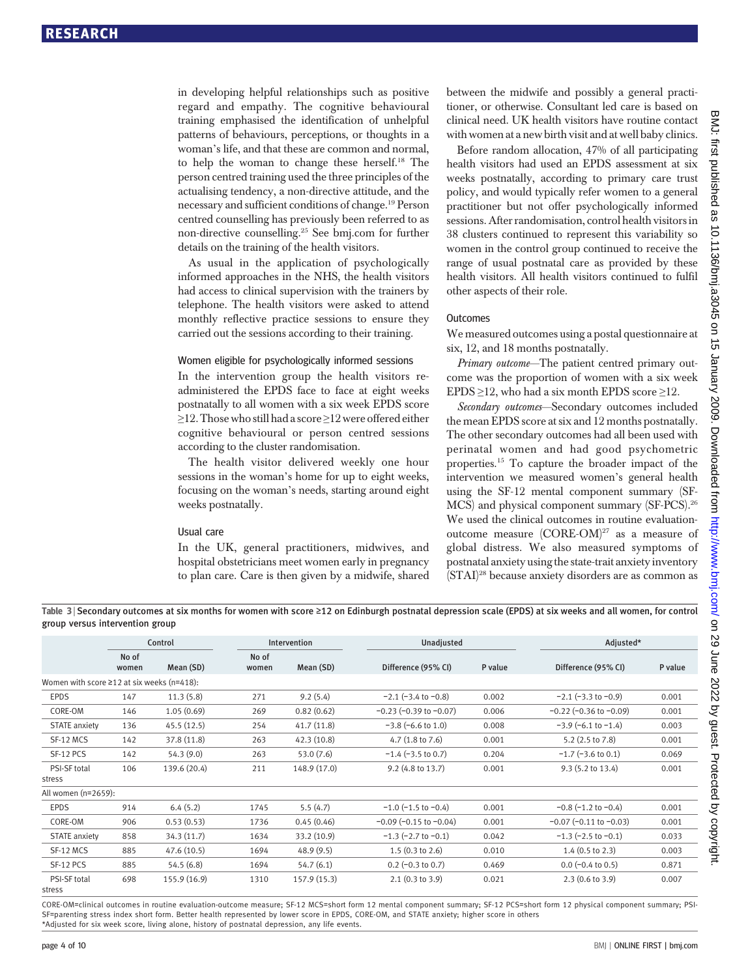in developing helpful relationships such as positive regard and empathy. The cognitive behavioural training emphasised the identification of unhelpful patterns of behaviours, perceptions, or thoughts in a woman's life, and that these are common and normal, to help the woman to change these herself.18 The person centred training used the three principles of the actualising tendency, a non-directive attitude, and the necessary and sufficient conditions of change.19 Person centred counselling has previously been referred to as non-directive counselling.25 See bmj.com for further details on the training of the health visitors.

As usual in the application of psychologically informed approaches in the NHS, the health visitors had access to clinical supervision with the trainers by telephone. The health visitors were asked to attend monthly reflective practice sessions to ensure they carried out the sessions according to their training.

#### Women eligible for psychologically informed sessions

In the intervention group the health visitors readministered the EPDS face to face at eight weeks postnatally to all women with a six week EPDS score ≥12. Those who still had a score ≥12 were offered either cognitive behavioural or person centred sessions according to the cluster randomisation.

The health visitor delivered weekly one hour sessions in the woman's home for up to eight weeks, focusing on the woman's needs, starting around eight weeks postnatally.

#### Usual care

In the UK, general practitioners, midwives, and hospital obstetricians meet women early in pregnancy to plan care. Care is then given by a midwife, shared

between the midwife and possibly a general practitioner, or otherwise. Consultant led care is based on clinical need. UK health visitors have routine contact with women at a new birth visit and at well baby clinics.

Before random allocation, 47% of all participating health visitors had used an EPDS assessment at six weeks postnatally, according to primary care trust policy, and would typically refer women to a general practitioner but not offer psychologically informed sessions. After randomisation, control health visitors in 38 clusters continued to represent this variability so women in the control group continued to receive the range of usual postnatal care as provided by these health visitors. All health visitors continued to fulfil other aspects of their role.

#### **Outcomes**

We measured outcomes using a postal questionnaire at six, 12, and 18 months postnatally.

Primary outcome—The patient centred primary outcome was the proportion of women with a six week EPDS  $\geq$ 12, who had a six month EPDS score  $\geq$ 12.

Secondary outcomes—Secondary outcomes included the mean EPDS score at six and 12 months postnatally. The other secondary outcomes had all been used with perinatal women and had good psychometric properties.15 To capture the broader impact of the intervention we measured women's general health using the SF-12 mental component summary (SF-MCS) and physical component summary (SF-PCS).26 We used the clinical outcomes in routine evaluationoutcome measure (CORE-OM)<sup>27</sup> as a measure of global distress. We also measured symptoms of postnatal anxiety using the state-trait anxiety inventory (STAI)28 because anxiety disorders are as common as

Table 3 <sup>|</sup> Secondary outcomes at six months for women with score <sup>≥</sup>12 on Edinburgh postnatal depression scale (EPDS) at six weeks and all women, for control group versus intervention group

|                                                  | Control        |              |                | Unadjusted<br>Intervention |                                |         | Adjusted*                      |         |
|--------------------------------------------------|----------------|--------------|----------------|----------------------------|--------------------------------|---------|--------------------------------|---------|
|                                                  | No of<br>women | Mean (SD)    | No of<br>women | Mean (SD)                  | Difference (95% CI)            | P value | Difference (95% CI)            | P value |
| Women with score $\geq$ 12 at six weeks (n=418): |                |              |                |                            |                                |         |                                |         |
| <b>EPDS</b>                                      | 147            | 11.3(5.8)    | 271            | 9.2(5.4)                   | $-2.1$ ( $-3.4$ to $-0.8$ )    | 0.002   | $-2.1$ ( $-3.3$ to $-0.9$ )    | 0.001   |
| CORE-OM                                          | 146            | 1.05(0.69)   | 269            | 0.82(0.62)                 | $-0.23$ ( $-0.39$ to $-0.07$ ) | 0.006   | $-0.22$ ( $-0.36$ to $-0.09$ ) | 0.001   |
| <b>STATE</b> anxiety                             | 136            | 45.5(12.5)   | 254            | 41.7(11.8)                 | $-3.8$ ( $-6.6$ to 1.0)        | 0.008   | $-3.9$ ( $-6.1$ to $-1.4$ )    | 0.003   |
| SF-12 MCS                                        | 142            | 37.8 (11.8)  | 263            | 42.3 (10.8)                | 4.7 $(1.8 \text{ to } 7.6)$    | 0.001   | $5.2$ (2.5 to 7.8)             | 0.001   |
| SF-12 PCS                                        | 142            | 54.3(9.0)    | 263            | 53.0(7.6)                  | $-1.4$ ( $-3.5$ to 0.7)        | 0.204   | $-1.7$ ( $-3.6$ to 0.1)        | 0.069   |
| PSI-SF total                                     | 106            | 139.6 (20.4) | 211            | 148.9 (17.0)               | 9.2 (4.8 to 13.7)              | 0.001   | 9.3 (5.2 to 13.4)              | 0.001   |
| stress                                           |                |              |                |                            |                                |         |                                |         |
| All women (n=2659):                              |                |              |                |                            |                                |         |                                |         |
| <b>EPDS</b>                                      | 914            | 6.4(5.2)     | 1745           | 5.5(4.7)                   | $-1.0$ (-1.5 to $-0.4$ )       | 0.001   | $-0.8$ ( $-1.2$ to $-0.4$ )    | 0.001   |
| CORE-OM                                          | 906            | 0.53(0.53)   | 1736           | 0.45(0.46)                 | $-0.09$ ( $-0.15$ to $-0.04$ ) | 0.001   | $-0.07$ ( $-0.11$ to $-0.03$ ) | 0.001   |
| <b>STATE</b> anxiety                             | 858            | 34.3(11.7)   | 1634           | 33.2 (10.9)                | $-1.3$ (-2.7 to $-0.1$ )       | 0.042   | $-1.3$ ( $-2.5$ to $-0.1$ )    | 0.033   |
| SF-12 MCS                                        | 885            | 47.6(10.5)   | 1694           | 48.9(9.5)                  | 1.5(0.3 to 2.6)                | 0.010   | $1.4$ (0.5 to 2.3)             | 0.003   |
| SF-12 PCS                                        | 885            | 54.5(6.8)    | 1694           | 54.7(6.1)                  | $0.2$ (-0.3 to 0.7)            | 0.469   | $0.0$ (-0.4 to 0.5)            | 0.871   |
| PSI-SF total<br>stress                           | 698            | 155.9 (16.9) | 1310           | 157.9 (15.3)               | 2.1(0.3 to 3.9)                | 0.021   | $2.3(0.6 \text{ to } 3.9)$     | 0.007   |

CORE-OM=clinical outcomes in routine evaluation-outcome measure; SF-12 MCS=short form 12 mental component summary; SF-12 PCS=short form 12 physical component summary; PSI-SF=parenting stress index short form. Better health represented by lower score in EPDS, CORE-OM, and STATE anxiety; higher score in others \*Adjusted for six week score, living alone, history of postnatal depression, any life events.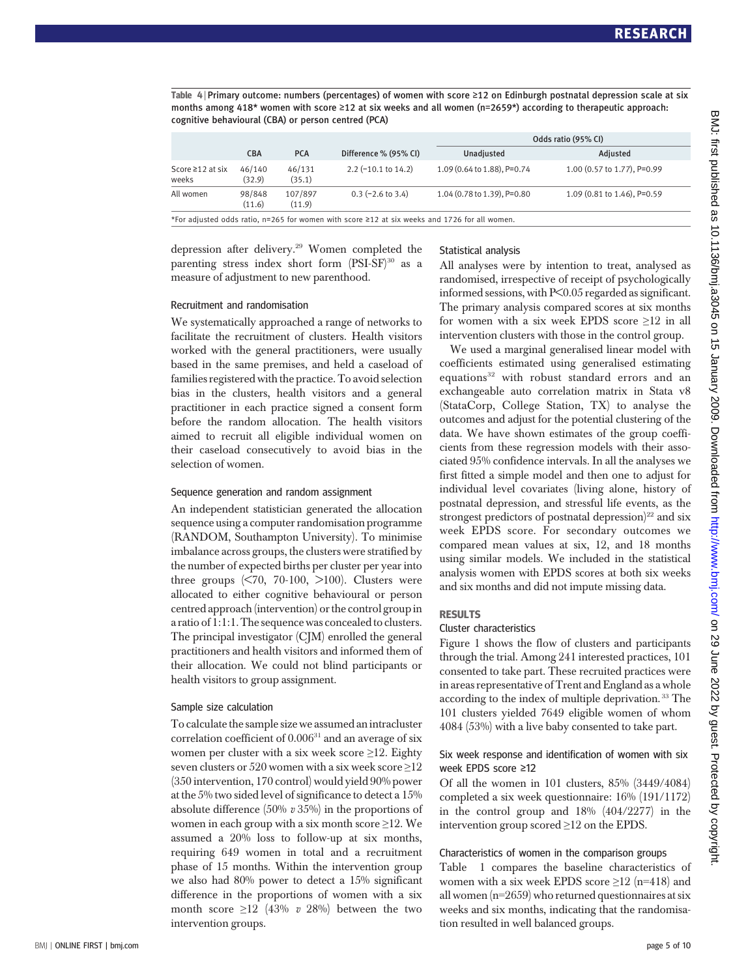Table 4 <sup>|</sup> Primary outcome: numbers (percentages) of women with score <sup>≥</sup>12 on Edinburgh postnatal depression scale at six months among 418\* women with score ≥12 at six weeks and all women (n=2659\*) according to therapeutic approach: cognitive behavioural (CBA) or person centred (PCA)

|                           |                  |                   |                                                                                               | Odds ratio (95% CI)         |                             |  |  |
|---------------------------|------------------|-------------------|-----------------------------------------------------------------------------------------------|-----------------------------|-----------------------------|--|--|
|                           | <b>CBA</b>       | <b>PCA</b>        | Difference % (95% CI)                                                                         | Unadjusted                  | Adjusted                    |  |  |
| Score ≥12 at six<br>weeks | 46/140<br>(32.9) | 46/131<br>(35.1)  | $2.2$ (-10.1 to 14.2)                                                                         | 1.09 (0.64 to 1.88), P=0.74 | 1.00 (0.57 to 1.77), P=0.99 |  |  |
| All women                 | 98/848<br>(11.6) | 107/897<br>(11.9) | $0.3$ (-2.6 to 3.4)                                                                           | 1.04 (0.78 to 1.39), P=0.80 | 1.09 (0.81 to 1.46), P=0.59 |  |  |
|                           |                  |                   | *For adjusted odds ratio, n=265 for women with score ≥12 at six weeks and 1726 for all women. |                             |                             |  |  |

depression after delivery.29 Women completed the parenting stress index short form  $(PSI-SF)^{30}$  as a measure of adjustment to new parenthood.

## Statistical analysis

All analyses were by intention to treat, analysed as randomised, irrespective of receipt of psychologically informed sessions, with P<0.05 regarded as significant. The primary analysis compared scores at six months for women with a six week EPDS score  $\geq 12$  in all intervention clusters with those in the control group.

We used a marginal generalised linear model with coefficients estimated using generalised estimating equations<sup>32</sup> with robust standard errors and an exchangeable auto correlation matrix in Stata v8 (StataCorp, College Station, TX) to analyse the outcomes and adjust for the potential clustering of the data. We have shown estimates of the group coefficients from these regression models with their associated 95% confidence intervals. In all the analyses we first fitted a simple model and then one to adjust for individual level covariates (living alone, history of postnatal depression, and stressful life events, as the strongest predictors of postnatal depression)<sup>22</sup> and six week EPDS score. For secondary outcomes we compared mean values at six, 12, and 18 months using similar models. We included in the statistical analysis women with EPDS scores at both six weeks and six months and did not impute missing data.

### **RESULTS**

# Cluster characteristics

Figure 1 shows the flow of clusters and participants through the trial. Among 241 interested practices, 101 consented to take part. These recruited practices were in areas representative of Trent and England as a whole according to the index of multiple deprivation. <sup>33</sup> The 101 clusters yielded 7649 eligible women of whom 4084 (53%) with a live baby consented to take part.

### Six week response and identification of women with six week EPDS score ≥12

Of all the women in 101 clusters, 85% (3449/4084) completed a six week questionnaire: 16% (191/1172) in the control group and 18% (404/2277) in the intervention group scored ≥12 on the EPDS.

### Characteristics of women in the comparison groups

Table 1 compares the baseline characteristics of women with a six week EPDS score  $\geq$ 12 (n=418) and all women (n=2659) who returned questionnaires at six weeks and six months, indicating that the randomisation resulted in well balanced groups.

#### Recruitment and randomisation

We systematically approached a range of networks to facilitate the recruitment of clusters. Health visitors worked with the general practitioners, were usually based in the same premises, and held a caseload of families registered with the practice. To avoid selection bias in the clusters, health visitors and a general practitioner in each practice signed a consent form before the random allocation. The health visitors aimed to recruit all eligible individual women on their caseload consecutively to avoid bias in the selection of women.

#### Sequence generation and random assignment

An independent statistician generated the allocation sequence using a computer randomisation programme (RANDOM, Southampton University). To minimise imbalance across groups, the clusters were stratified by the number of expected births per cluster per year into three groups  $\langle 570, 70-100, 5100 \rangle$ . Clusters were allocated to either cognitive behavioural or person centred approach (intervention) or the control group in a ratio of 1:1:1. The sequence was concealed to clusters. The principal investigator (CJM) enrolled the general practitioners and health visitors and informed them of their allocation. We could not blind participants or health visitors to group assignment.

### Sample size calculation

To calculate the sample size we assumed an intracluster correlation coefficient of  $0.006^{31}$  and an average of six women per cluster with a six week score  $\geq$ 12. Eighty seven clusters or 520 women with a six week score  $\geq$ 12 (350 intervention, 170 control) would yield 90% power at the 5% two sided level of significance to detect a 15% absolute difference (50% v 35%) in the proportions of women in each group with a six month score  $\geq$ 12. We assumed a 20% loss to follow-up at six months, requiring 649 women in total and a recruitment phase of 15 months. Within the intervention group we also had 80% power to detect a 15% significant difference in the proportions of women with a six month score  $\geq$ 12 (43% v 28%) between the two intervention groups.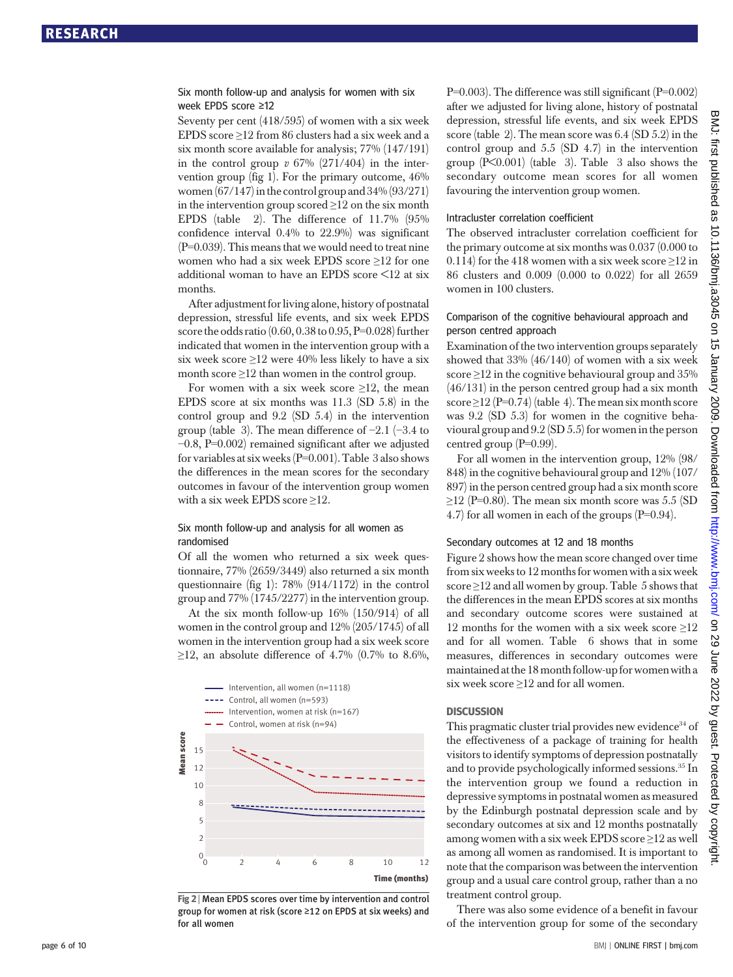### Six month follow-up and analysis for women with six week EPDS score ≥12

Seventy per cent (418/595) of women with a six week EPDS score ≥12 from 86 clusters had a six week and a six month score available for analysis; 77% (147/191) in the control group  $v$  67% (271/404) in the intervention group (fig 1). For the primary outcome, 46% women  $(67/147)$  in the control group and  $34\%$   $(93/271)$ in the intervention group scored  $\geq$ 12 on the six month EPDS (table 2). The difference of 11.7% (95% confidence interval 0.4% to 22.9%) was significant (P=0.039). This means that we would need to treat nine women who had a six week EPDS score ≥12 for one additional woman to have an EPDS score <12 at six months.

After adjustment for living alone, history of postnatal depression, stressful life events, and six week EPDS score the odds ratio  $(0.60, 0.38$  to  $0.95, P=0.028$  further indicated that women in the intervention group with a six week score  $\geq$ 12 were 40% less likely to have a six month score  $\geq$ 12 than women in the control group.

For women with a six week score  $\geq$ 12, the mean EPDS score at six months was 11.3 (SD 5.8) in the control group and 9.2 (SD 5.4) in the intervention group (table 3). The mean difference of −2.1 (−3.4 to −0.8, P=0.002) remained significant after we adjusted for variables at six weeks (P=0.001). Table 3 also shows the differences in the mean scores for the secondary outcomes in favour of the intervention group women with a six week EPDS score ≥12.

### Six month follow-up and analysis for all women as randomised

Of all the women who returned a six week questionnaire, 77% (2659/3449) also returned a six month questionnaire (fig 1): 78% (914/1172) in the control group and 77% (1745/2277) in the intervention group.

At the six month follow-up 16% (150/914) of all women in the control group and 12% (205/1745) of all women in the intervention group had a six week score ≥12, an absolute difference of 4.7% (0.7% to 8.6%,



Fig 2 <sup>|</sup> Mean EPDS scores over time by intervention and control group for women at risk (score ≥12 on EPDS at six weeks) and for all women

P=0.003). The difference was still significant (P=0.002) after we adjusted for living alone, history of postnatal depression, stressful life events, and six week EPDS score (table 2). The mean score was 6.4 (SD 5.2) in the control group and 5.5 (SD 4.7) in the intervention group  $(P<0.001)$  (table 3). Table 3 also shows the secondary outcome mean scores for all women favouring the intervention group women.

#### Intracluster correlation coefficient

The observed intracluster correlation coefficient for the primary outcome at six months was 0.037 (0.000 to 0.114) for the 418 women with a six week score  $\geq$ 12 in 86 clusters and 0.009 (0.000 to 0.022) for all 2659 women in 100 clusters.

### Comparison of the cognitive behavioural approach and person centred approach

Examination of the two intervention groups separately showed that 33% (46/140) of women with a six week score  $\geq$ 12 in the cognitive behavioural group and 35% (46/131) in the person centred group had a six month score  $\geq$ 12 (P=0.74) (table 4). The mean six month score was 9.2 (SD 5.3) for women in the cognitive behavioural group and 9.2 (SD 5.5) for women in the person centred group (P=0.99).

For all women in the intervention group, 12% (98/ 848) in the cognitive behavioural group and 12% (107/ 897) in the person centred group had a six month score  $\geq$ 12 (P=0.80). The mean six month score was 5.5 (SD 4.7) for all women in each of the groups (P=0.94).

#### Secondary outcomes at 12 and 18 months

Figure 2 shows how the mean score changed over time from six weeks to 12 months for women with a six week score  $\geq$ 12 and all women by group. Table 5 shows that the differences in the mean EPDS scores at six months and secondary outcome scores were sustained at 12 months for the women with a six week score ≥12 and for all women. Table 6 shows that in some measures, differences in secondary outcomes were maintained atthe 18monthfollow-upfor women with a six week score  $\geq$ 12 and for all women.

#### **DISCUSSION**

This pragmatic cluster trial provides new evidence<sup>34</sup> of the effectiveness of a package of training for health visitors to identify symptoms of depression postnatally and to provide psychologically informed sessions.<sup>35</sup> In the intervention group we found a reduction in depressive symptoms in postnatal women as measured by the Edinburgh postnatal depression scale and by secondary outcomes at six and 12 months postnatally among women with a six week EPDS score ≥12 as well as among all women as randomised. It is important to note that the comparison was between the intervention group and a usual care control group, rather than a no treatment control group.

There was also some evidence of a benefit in favour of the intervention group for some of the secondary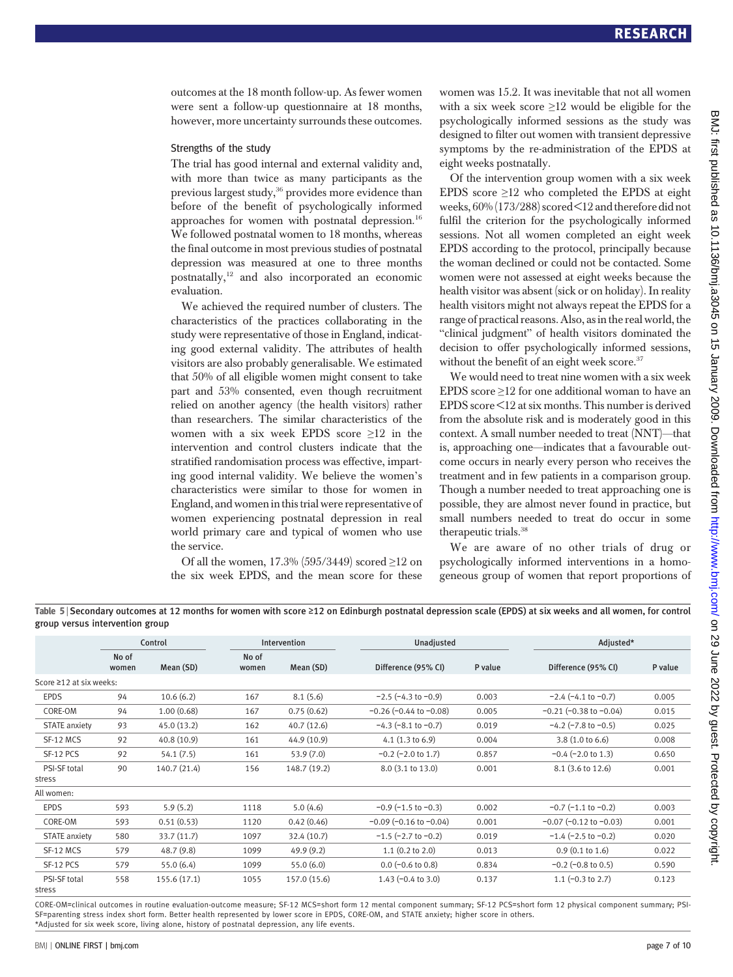outcomes at the 18 month follow-up. As fewer women were sent a follow-up questionnaire at 18 months, however, more uncertainty surrounds these outcomes.

#### Strengths of the study

The trial has good internal and external validity and, with more than twice as many participants as the previous largest study,<sup>36</sup> provides more evidence than before of the benefit of psychologically informed approaches for women with postnatal depression.<sup>16</sup> We followed postnatal women to 18 months, whereas the final outcome in most previous studies of postnatal depression was measured at one to three months postnatally,<sup>12</sup> and also incorporated an economic evaluation.

We achieved the required number of clusters. The characteristics of the practices collaborating in the study were representative of those in England, indicating good external validity. The attributes of health visitors are also probably generalisable. We estimated that 50% of all eligible women might consent to take part and 53% consented, even though recruitment relied on another agency (the health visitors) rather than researchers. The similar characteristics of the women with a six week EPDS score ≥12 in the intervention and control clusters indicate that the stratified randomisation process was effective, imparting good internal validity. We believe the women's characteristics were similar to those for women in England, and women in this trial were representative of women experiencing postnatal depression in real world primary care and typical of women who use the service.

Of all the women, 17.3% (595/3449) scored ≥12 on the six week EPDS, and the mean score for these women was 15.2. It was inevitable that not all women with a six week score  $\geq 12$  would be eligible for the psychologically informed sessions as the study was designed to filter out women with transient depressive symptoms by the re-administration of the EPDS at eight weeks postnatally.

Of the intervention group women with a six week EPDS score  $\geq$ 12 who completed the EPDS at eight weeks, 60%(173/288) scored<12 andtherefore did not fulfil the criterion for the psychologically informed sessions. Not all women completed an eight week EPDS according to the protocol, principally because the woman declined or could not be contacted. Some women were not assessed at eight weeks because the health visitor was absent (sick or on holiday). In reality health visitors might not always repeat the EPDS for a range of practical reasons. Also, as in the real world, the "clinical judgment" of health visitors dominated the decision to offer psychologically informed sessions, without the benefit of an eight week score.<sup>37</sup>

We would need to treat nine women with a six week EPDS score ≥12 for one additional woman to have an EPDS score <12 at six months. This number is derived from the absolute risk and is moderately good in this context. A small number needed to treat (NNT)—that is, approaching one—indicates that a favourable outcome occurs in nearly every person who receives the treatment and in few patients in a comparison group. Though a number needed to treat approaching one is possible, they are almost never found in practice, but small numbers needed to treat do occur in some therapeutic trials.38

We are aware of no other trials of drug or psychologically informed interventions in a homogeneous group of women that report proportions of

Table 5 <sup>|</sup> Secondary outcomes at 12 months for women with score <sup>≥</sup>12 on Edinburgh postnatal depression scale (EPDS) at six weeks and all women, for control group versus intervention group

|                         |                | Control      |                | Intervention | Unadjusted                     |         | Adjusted*                      |         |
|-------------------------|----------------|--------------|----------------|--------------|--------------------------------|---------|--------------------------------|---------|
|                         | No of<br>women | Mean (SD)    | No of<br>women | Mean (SD)    | Difference (95% CI)            | P value | Difference (95% CI)            | P value |
| Score ≥12 at six weeks: |                |              |                |              |                                |         |                                |         |
| <b>EPDS</b>             | 94             | 10.6(6.2)    | 167            | 8.1(5.6)     | $-2.5$ ( $-4.3$ to $-0.9$ )    | 0.003   | $-2.4$ ( $-4.1$ to $-0.7$ )    | 0.005   |
| CORE-OM                 | 94             | 1.00(0.68)   | 167            | 0.75(0.62)   | $-0.26$ ( $-0.44$ to $-0.08$ ) | 0.005   | $-0.21$ ( $-0.38$ to $-0.04$ ) | 0.015   |
| <b>STATE</b> anxiety    | 93             | 45.0 (13.2)  | 162            | 40.7 (12.6)  | $-4.3$ ( $-8.1$ to $-0.7$ )    | 0.019   | $-4.2$ ( $-7.8$ to $-0.5$ )    | 0.025   |
| SF-12 MCS               | 92             | 40.8 (10.9)  | 161            | 44.9 (10.9)  | 4.1 $(1.3 to 6.9)$             | 0.004   | $3.8(1.0 \text{ to } 6.6)$     | 0.008   |
| SF-12 PCS               | 92             | 54.1(7.5)    | 161            | 53.9(7.0)    | $-0.2$ ( $-2.0$ to 1.7)        | 0.857   | $-0.4$ ( $-2.0$ to 1.3)        | 0.650   |
| PSI-SF total<br>stress  | 90             | 140.7 (21.4) | 156            | 148.7 (19.2) | 8.0 (3.1 to 13.0)              | 0.001   | 8.1 (3.6 to 12.6)              | 0.001   |
| All women:              |                |              |                |              |                                |         |                                |         |
| <b>EPDS</b>             | 593            | 5.9(5.2)     | 1118           | 5.0(4.6)     | $-0.9$ ( $-1.5$ to $-0.3$ )    | 0.002   | $-0.7$ ( $-1.1$ to $-0.2$ )    | 0.003   |
| CORE-OM                 | 593            | 0.51(0.53)   | 1120           | 0.42(0.46)   | $-0.09$ ( $-0.16$ to $-0.04$ ) | 0.001   | $-0.07$ ( $-0.12$ to $-0.03$ ) | 0.001   |
| <b>STATE</b> anxiety    | 580            | 33.7 (11.7)  | 1097           | 32.4 (10.7)  | $-1.5$ (-2.7 to -0.2)          | 0.019   | $-1.4$ ( $-2.5$ to $-0.2$ )    | 0.020   |
| SF-12 MCS               | 579            | 48.7(9.8)    | 1099           | 49.9(9.2)    | 1.1(0.2 to 2.0)                | 0.013   | $0.9$ (0.1 to 1.6)             | 0.022   |
| SF-12 PCS               | 579            | 55.0(6.4)    | 1099           | 55.0(6.0)    | $0.0$ (-0.6 to 0.8)            | 0.834   | $-0.2$ ( $-0.8$ to 0.5)        | 0.590   |
| PSI-SF total            | 558            | 155.6 (17.1) | 1055           | 157.0 (15.6) | $1.43$ (-0.4 to 3.0)           | 0.137   | 1.1 $(-0.3 \text{ to } 2.7)$   | 0.123   |
|                         |                |              |                |              |                                |         |                                |         |

stress

CORE-OM=clinical outcomes in routine evaluation-outcome measure; SF-12 MCS=short form 12 mental component summary; SF-12 PCS=short form 12 physical component summary; PSI-SF=parenting stress index short form. Better health represented by lower score in EPDS, CORE-OM, and STATE anxiety; higher score in others. \*Adjusted for six week score, living alone, history of postnatal depression, any life events.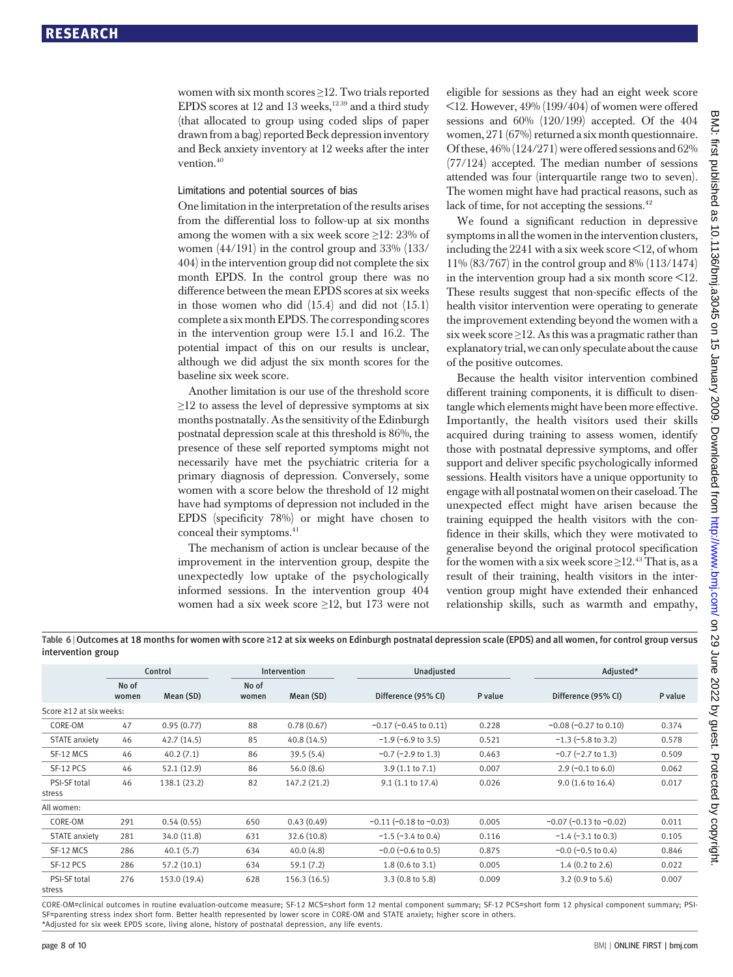women with six month scores ≥12. Two trials reported EPDS scores at 12 and 13 weeks, $1239$  and a third study (that allocated to group using coded slips of paper drawn from a bag) reported Beck depression inventory and Beck anxiety inventory at 12 weeks after the inter vention.<sup>40</sup>

#### Limitations and potential sources of bias

One limitation in the interpretation of the results arises from the differential loss to follow-up at six months among the women with a six week score  $\geq$ 12: 23% of women (44/191) in the control group and 33% (133/ 404) in the intervention group did not complete the six month EPDS. In the control group there was no difference between the mean EPDS scores at six weeks in those women who did (15.4) and did not (15.1) complete a six month EPDS. The corresponding scores in the intervention group were 15.1 and 16.2. The potential impact of this on our results is unclear, although we did adjust the six month scores for the baseline six week score.

Another limitation is our use of the threshold score  $\geq$ 12 to assess the level of depressive symptoms at six months postnatally. As the sensitivity of the Edinburgh postnatal depression scale at this threshold is 86%, the presence of these self reported symptoms might not necessarily have met the psychiatric criteria for a primary diagnosis of depression. Conversely, some women with a score below the threshold of 12 might have had symptoms of depression not included in the EPDS (specificity 78%) or might have chosen to conceal their symptoms.<sup>41</sup>

The mechanism of action is unclear because of the improvement in the intervention group, despite the unexpectedly low uptake of the psychologically informed sessions. In the intervention group 404 women had a six week score ≥12, but 173 were not eligible for sessions as they had an eight week score <12. However, 49% (199/404) of women were offered sessions and 60% (120/199) accepted. Of the 404 women, 271 (67%) returned a six month questionnaire. Of these, 46% (124/271) were offered sessions and 62% (77/124) accepted. The median number of sessions attended was four (interquartile range two to seven). The women might have had practical reasons, such as lack of time, for not accepting the sessions.<sup>42</sup>

We found a significant reduction in depressive symptoms in all the women in the intervention clusters, including the 2241 with a six week score <12, of whom 11% (83/767) in the control group and 8% (113/1474) in the intervention group had a six month score  $\leq 12$ . These results suggest that non-specific effects of the health visitor intervention were operating to generate the improvement extending beyond the women with a six week score  $\geq$ 12. As this was a pragmatic rather than explanatory trial, we can only speculate about the cause of the positive outcomes.

Because the health visitor intervention combined different training components, it is difficult to disentangle which elements might have been more effective. Importantly, the health visitors used their skills acquired during training to assess women, identify those with postnatal depressive symptoms, and offer support and deliver specific psychologically informed sessions. Health visitors have a unique opportunity to engage with all postnatal women on their caseload. The unexpected effect might have arisen because the training equipped the health visitors with the confidence in their skills, which they were motivated to generalise beyond the original protocol specification for the women with a six week score  $\geq$ 12.<sup>43</sup> That is, as a result of their training, health visitors in the intervention group might have extended their enhanced relationship skills, such as warmth and empathy,

Table 6 <sup>|</sup> Outcomes at 18 months for women with score <sup>≥</sup>12 at six weeks on Edinburgh postnatal depression scale (EPDS) and all women, for control group versus intervention group

|                         | Control        |              |                | Unadjusted<br>Intervention |                                | Adjusted* |                                |         |
|-------------------------|----------------|--------------|----------------|----------------------------|--------------------------------|-----------|--------------------------------|---------|
|                         | No of<br>women | Mean (SD)    | No of<br>women | Mean (SD)                  | Difference (95% CI)            | P value   | Difference (95% CI)            | P value |
| Score ≥12 at six weeks: |                |              |                |                            |                                |           |                                |         |
| CORE-OM                 | 47             | 0.95(0.77)   | 88             | 0.78(0.67)                 | $-0.17$ ( $-0.45$ to 0.11)     | 0.228     | $-0.08$ ( $-0.27$ to 0.10)     | 0.374   |
| <b>STATE</b> anxiety    | 46             | 42.7(14.5)   | 85             | 40.8(14.5)                 | $-1.9$ (-6.9 to 3.5)           | 0.521     | $-1.3$ ( $-5.8$ to 3.2)        | 0.578   |
| SF-12 MCS               | 46             | 40.2(7.1)    | 86             | 39.5(5.4)                  | $-0.7$ ( $-2.9$ to 1.3)        | 0.463     | $-0.7$ ( $-2.7$ to 1.3)        | 0.509   |
| SF-12 PCS               | 46             | 52.1(12.9)   | 86             | 56.0(8.6)                  | $3.9(1.1 \text{ to } 7.1)$     | 0.007     | $2.9(-0.1 \text{ to } 6.0)$    | 0.062   |
| PSI-SF total<br>stress  | 46             | 138.1 (23.2) | 82             | 147.2 (21.2)               | $9.1$ (1.1 to 17.4)            | 0.026     | $9.0$ (1.6 to 16.4)            | 0.017   |
| All women:              |                |              |                |                            |                                |           |                                |         |
| CORE-OM                 | 291            | 0.54(0.55)   | 650            | 0.43(0.49)                 | $-0.11$ ( $-0.18$ to $-0.03$ ) | 0.005     | $-0.07$ ( $-0.13$ to $-0.02$ ) | 0.011   |
| <b>STATE</b> anxiety    | 281            | 34.0 (11.8)  | 631            | 32.6(10.8)                 | $-1.5$ ( $-3.4$ to 0.4)        | 0.116     | $-1.4$ ( $-3.1$ to 0.3)        | 0.105   |
| SF-12 MCS               | 286            | 40.1(5.7)    | 634            | 40.0(4.8)                  | $-0.0$ ( $-0.6$ to 0.5)        | 0.875     | $-0.0$ ( $-0.5$ to 0.4)        | 0.846   |
| SF-12 PCS               | 286            | 57.2(10.1)   | 634            | 59.1(7.2)                  | $1.8(0.6 \text{ to } 3.1)$     | 0.005     | $1.4$ (0.2 to 2.6)             | 0.022   |
| PSI-SF total<br>stress  | 276            | 153.0 (19.4) | 628            | 156.3(16.5)                | $3.3(0.8 \text{ to } 5.8)$     | 0.009     | $3.2$ (0.9 to 5.6)             | 0.007   |

CORE-OM=clinical outcomes in routine evaluation-outcome measure; SF-12 MCS=short form 12 mental component summary; SF-12 PCS=short form 12 physical component summary; PSI-SF=parenting stress index short form. Better health represented by lower score in CORE-OM and STATE anxiety; higher score in others. \*Adjusted for six week EPDS score, living alone, history of postnatal depression, any life events.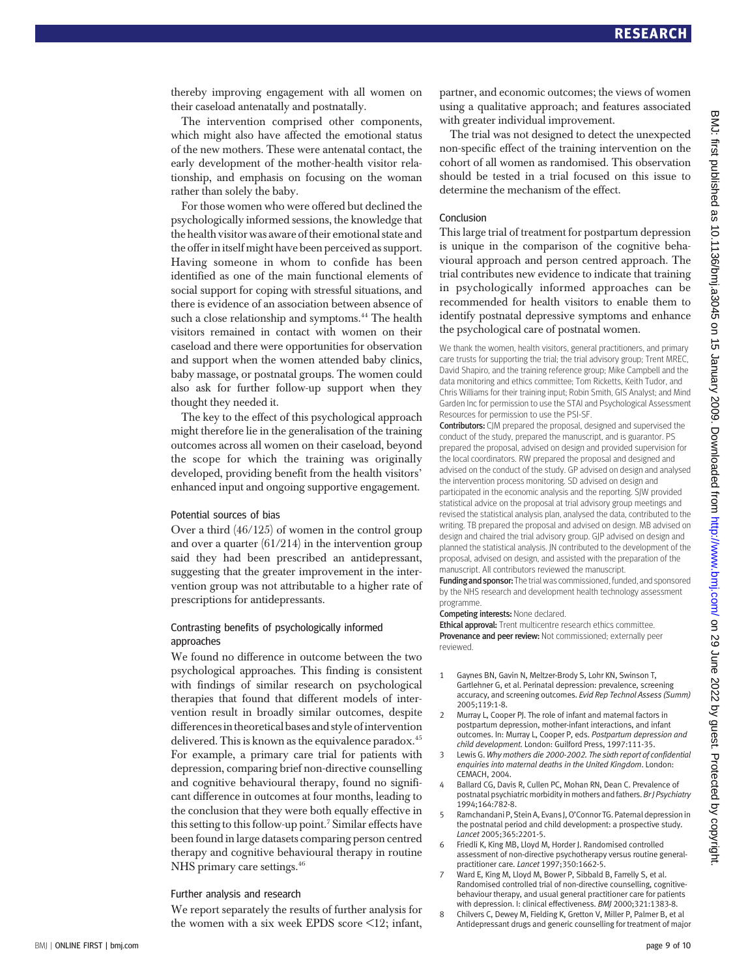thereby improving engagement with all women on their caseload antenatally and postnatally.

The intervention comprised other components, which might also have affected the emotional status of the new mothers. These were antenatal contact, the early development of the mother-health visitor relationship, and emphasis on focusing on the woman rather than solely the baby.

For those women who were offered but declined the psychologically informed sessions, the knowledge that the health visitor was aware of their emotional state and the offer in itself might have been perceived as support. Having someone in whom to confide has been identified as one of the main functional elements of social support for coping with stressful situations, and there is evidence of an association between absence of such a close relationship and symptoms.<sup>44</sup> The health visitors remained in contact with women on their caseload and there were opportunities for observation and support when the women attended baby clinics, baby massage, or postnatal groups. The women could also ask for further follow-up support when they thought they needed it.

The key to the effect of this psychological approach might therefore lie in the generalisation of the training outcomes across all women on their caseload, beyond the scope for which the training was originally developed, providing benefit from the health visitors' enhanced input and ongoing supportive engagement.

#### Potential sources of bias

Over a third (46/125) of women in the control group and over a quarter (61/214) in the intervention group said they had been prescribed an antidepressant, suggesting that the greater improvement in the intervention group was not attributable to a higher rate of prescriptions for antidepressants.

#### Contrasting benefits of psychologically informed approaches

We found no difference in outcome between the two psychological approaches. This finding is consistent with findings of similar research on psychological therapies that found that different models of intervention result in broadly similar outcomes, despite differencesintheoretical bases and style of intervention delivered. This is known as the equivalence paradox.<sup>45</sup> For example, a primary care trial for patients with depression, comparing brief non-directive counselling and cognitive behavioural therapy, found no significant difference in outcomes at four months, leading to the conclusion that they were both equally effective in this setting to this follow-up point.7 Similar effects have been found in large datasets comparing person centred therapy and cognitive behavioural therapy in routine NHS primary care settings.<sup>46</sup>

#### Further analysis and research

We report separately the results of further analysis for the women with a six week EPDS score  $\leq 12$ ; infant, partner, and economic outcomes; the views of women using a qualitative approach; and features associated with greater individual improvement.

The trial was not designed to detect the unexpected non-specific effect of the training intervention on the cohort of all women as randomised. This observation should be tested in a trial focused on this issue to determine the mechanism of the effect.

#### Conclusion

This large trial of treatment for postpartum depression is unique in the comparison of the cognitive behavioural approach and person centred approach. The trial contributes new evidence to indicate that training in psychologically informed approaches can be recommended for health visitors to enable them to identify postnatal depressive symptoms and enhance the psychological care of postnatal women.

We thank the women, health visitors, general practitioners, and primary care trusts for supporting the trial; the trial advisory group; Trent MREC, David Shapiro, and the training reference group; Mike Campbell and the data monitoring and ethics committee; Tom Ricketts, Keith Tudor, and Chris Williams for their training input; Robin Smith, GIS Analyst; and Mind Garden Inc for permission to use the STAI and Psychological Assessment Resources for permission to use the PSI-SF.

Contributors: CJM prepared the proposal, designed and supervised the conduct of the study, prepared the manuscript, and is guarantor. PS prepared the proposal, advised on design and provided supervision for the local coordinators. RW prepared the proposal and designed and advised on the conduct of the study. GP advised on design and analysed the intervention process monitoring. SD advised on design and participated in the economic analysis and the reporting. SJW provided statistical advice on the proposal at trial advisory group meetings and revised the statistical analysis plan, analysed the data, contributed to the writing. TB prepared the proposal and advised on design. MB advised on design and chaired the trial advisory group. GJP advised on design and planned the statistical analysis. JN contributed to the development of the proposal, advised on design, and assisted with the preparation of the manuscript. All contributors reviewed the manuscript.

Funding and sponsor: The trial was commissioned, funded, and sponsored by the NHS research and development health technology assessment programme.

Competing interests: None declared.

Ethical approval: Trent multicentre research ethics committee. Provenance and peer review: Not commissioned; externally peer reviewed.

- 1 Gaynes BN, Gavin N, Meltzer-Brody S, Lohr KN, Swinson T, Gartlehner G, et al. Perinatal depression: prevalence, screening accuracy, and screening outcomes. Evid Rep Technol Assess (Summ) 2005;119:1-8.
- 2 Murray L, Cooper PJ. The role of infant and maternal factors in postpartum depression, mother-infant interactions, and infant outcomes. In: Murray L, Cooper P, eds. Postpartum depression and child development. London: Guilford Press, 1997:111-35.
- 3 Lewis G. Why mothers die 2000-2002. The sixth report of confidential enquiries into maternal deaths in the United Kingdom. London: CEMACH, 2004.
- Ballard CG, Davis R, Cullen PC, Mohan RN, Dean C. Prevalence of postnatal psychiatric morbidity in mothers and fathers. Br J Psychiatry 1994;164:782-8.
- 5 Ramchandani P, Stein A, Evans I, O'Connor TG. Paternal depression in the postnatal period and child development: a prospective study. Lancet 2005;365:2201-5.
- 6 Friedli K, King MB, Lloyd M, Horder J. Randomised controlled assessment of non-directive psychotherapy versus routine generalpractitioner care. Lancet 1997;350:1662-5.
- 7 Ward E, King M, Lloyd M, Bower P, Sibbald B, Farrelly S, et al. Randomised controlled trial of non-directive counselling, cognitivebehaviour therapy, and usual general practitioner care for patients with depression. I: clinical effectiveness. BMJ 2000;321:1383-8.
- 8 Chilvers C, Dewey M, Fielding K, Gretton V, Miller P, Palmer B, et al Antidepressant drugs and generic counselling for treatment of major